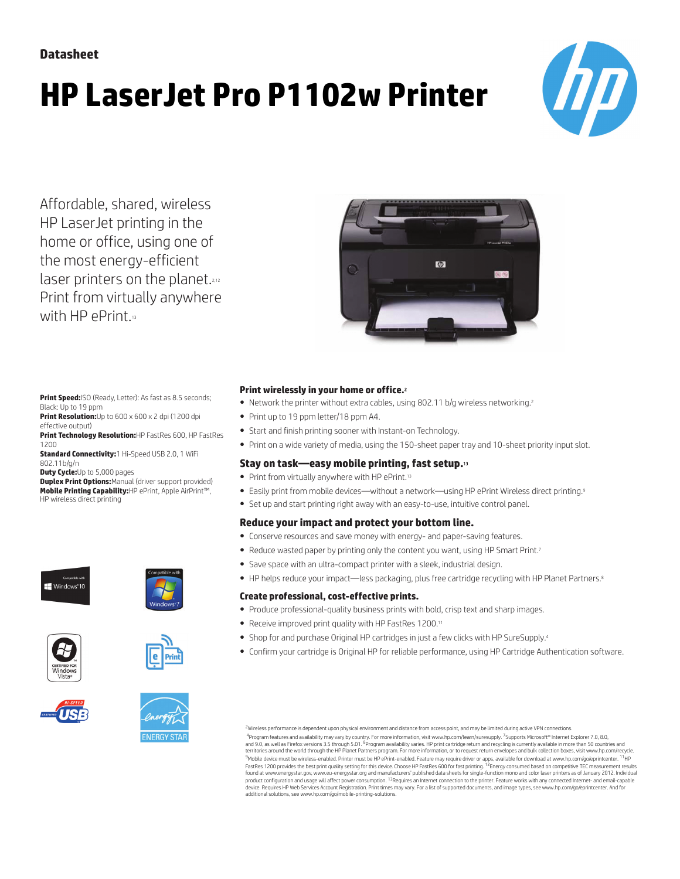# **HP LaserJet Pro P1102w Printer**



Affordable, shared, wireless HP LaserJet printing in the home or office, using one of the most energy-efficient laser printers on the planet.<sup>2,12</sup> Print from virtually anywhere with HP ePrint.13



**Print Speed:**ISO (Ready, Letter): As fast as 8.5 seconds; Black: Up to 19 ppm

**Print Resolution:**Up to 600 x 600 x 2 dpi (1200 dpi effective output)

**Print Technology Resolution:**HP FastRes 600, HP FastRes 1200

**Standard Connectivity:**1 Hi-Speed USB 2.0, 1 WiFi 802.11b/g/n

**Duty Cycle:**Up to 5,000 pages

**Duplex Print Options:**Manual (driver support provided) **Mobile Printing Capability:**HP ePrint, Apple AirPrint™, HP wireless direct printing











#### **Print wirelessly in your home or office.**<sup>2</sup>

- Network the printer without extra cables, using 802.11 b/g wireless networking.<sup>2</sup>
- Print up to 19 ppm letter/18 ppm A4.
- Start and finish printing sooner with Instant-on Technology.
- Print on a wide variety of media, using the 150-sheet paper tray and 10-sheet priority input slot.

## **Stay on task—easy mobile printing, fast setup.**<sup>13</sup>

- Print from virtually anywhere with HP ePrint.<sup>13</sup>
- Easily print from mobile devices—without a network—using HP ePrint Wireless direct printing.<sup>9</sup>
- Set up and start printing right away with an easy-to-use, intuitive control panel.

## **Reduce your impact and protect your bottom line.**

- Conserve resources and save money with energy- and paper-saving features.
- Reduce wasted paper by printing only the content you want, using HP Smart Print.<sup>7</sup>
- Save space with an ultra-compact printer with a sleek, industrial design.
- HP helps reduce your impact—less packaging, plus free cartridge recycling with HP Planet Partners.<sup>8</sup>

#### **Create professional, cost-effective prints.**

- Produce professional-quality business prints with bold, crisp text and sharp images.
- Receive improved print quality with HP FastRes 1200.<sup>11</sup>
- Shop for and purchase Original HP cartridges in just a few clicks with HP SureSupply.<sup>4</sup>
- Confirm your cartridge is Original HP for reliable performance, using HP Cartridge Authentication software.

<sup>2</sup>Wireless performance is dependent upon physical environment and distance from access point, and may be limited during active VPN connections

<sup>4</sup>Program features and availability may vary by country. For more information, visit www.hp.com/learn/suresupply. <sup>7</sup>Supports Microsoft® Internet Explorer 7.0, 8.0,<br>and 9.0, as well as Firefox versions 3.5 through 5.01. <sup></sup> <sup>9</sup>Mobile device must be wireless-enabled. Printer must be HP ePrint-enabled. Feature may require driver or apps, available for download at www.hp.com/go/eprintcenter. <sup>11</sup>HP<br>FastRes 1200 provides the best print quality se device. Requires HP Web Services Account Registration. Print times may vary. For a list of supported documents, and image types, see www.hp.com/go/eprintcenter. And for<br>additional solutions, see www.hp.com/go/mobile-printi